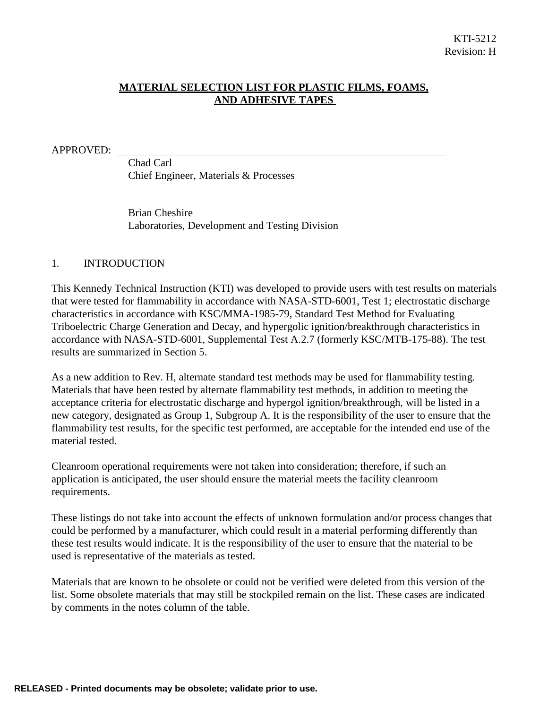# **MATERIAL SELECTION LIST FOR PLASTIC FILMS, FOAMS, AND ADHESIVE TAPES**

APPROVED:

Chad Carl Chief Engineer, Materials & Processes

Brian Cheshire Laboratories, Development and Testing Division

#### 1. INTRODUCTION

This Kennedy Technical Instruction (KTI) was developed to provide users with test results on materials that were tested for flammability in accordance with NASA-STD-6001, Test 1; electrostatic discharge characteristics in accordance with KSC/MMA-1985-79, Standard Test Method for Evaluating Triboelectric Charge Generation and Decay, and hypergolic ignition/breakthrough characteristics in accordance with NASA-STD-6001, Supplemental Test A.2.7 (formerly KSC/MTB-175-88). The test results are summarized in Section 5.

As a new addition to Rev. H, alternate standard test methods may be used for flammability testing. Materials that have been tested by alternate flammability test methods, in addition to meeting the acceptance criteria for electrostatic discharge and hypergol ignition/breakthrough, will be listed in a new category, designated as Group 1, Subgroup A. It is the responsibility of the user to ensure that the flammability test results, for the specific test performed, are acceptable for the intended end use of the material tested.

Cleanroom operational requirements were not taken into consideration; therefore, if such an application is anticipated, the user should ensure the material meets the facility cleanroom requirements.

These listings do not take into account the effects of unknown formulation and/or process changes that could be performed by a manufacturer, which could result in a material performing differently than these test results would indicate. It is the responsibility of the user to ensure that the material to be used is representative of the materials as tested.

Materials that are known to be obsolete or could not be verified were deleted from this version of the list. Some obsolete materials that may still be stockpiled remain on the list. These cases are indicated by comments in the notes column of the table.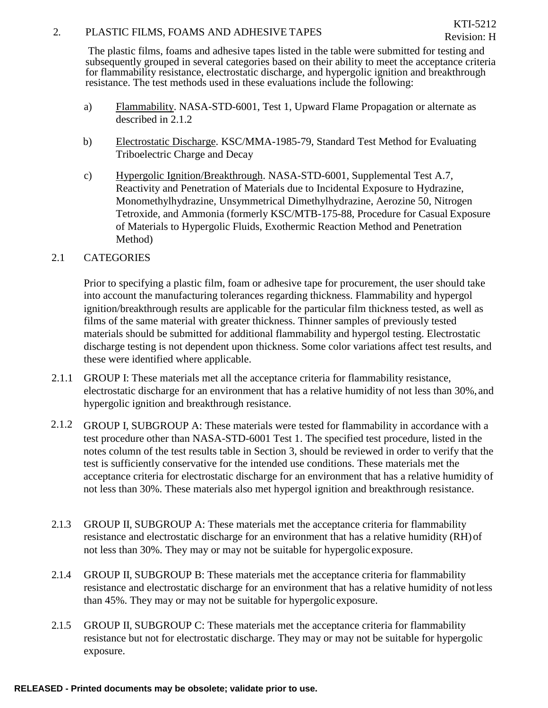### 2. PLASTIC FILMS, FOAMS AND ADHESIVE TAPES

The plastic films, foams and adhesive tapes listed in the table were submitted for testing and subsequently grouped in several categories based on their ability to meet the acceptance criteria for flammability resistance, electrostatic discharge, and hypergolic ignition and breakthrough resistance. The test methods used in these evaluations include the following:

- a) Flammability. NASA-STD-6001, Test 1, Upward Flame Propagation or alternate as described in 2.1.2
- b) Electrostatic Discharge. KSC/MMA-1985-79, Standard Test Method for Evaluating Triboelectric Charge and Decay
- c) Hypergolic Ignition/Breakthrough. NASA-STD-6001, Supplemental Test A.7, Reactivity and Penetration of Materials due to Incidental Exposure to Hydrazine, Monomethylhydrazine, Unsymmetrical Dimethylhydrazine, Aerozine 50, Nitrogen Tetroxide, and Ammonia (formerly KSC/MTB-175-88, Procedure for Casual Exposure of Materials to Hypergolic Fluids, Exothermic Reaction Method and Penetration Method)

# 2.1 CATEGORIES

Prior to specifying a plastic film, foam or adhesive tape for procurement, the user should take into account the manufacturing tolerances regarding thickness. Flammability and hypergol ignition/breakthrough results are applicable for the particular film thickness tested, as well as films of the same material with greater thickness. Thinner samples of previously tested materials should be submitted for additional flammability and hypergol testing. Electrostatic discharge testing is not dependent upon thickness. Some color variations affect test results, and these were identified where applicable.

- 2.1.1 GROUP I: These materials met all the acceptance criteria for flammability resistance, electrostatic discharge for an environment that has a relative humidity of not less than 30%, and hypergolic ignition and breakthrough resistance.
- 2.1.2 GROUP I, SUBGROUP A: These materials were tested for flammability in accordance with a test procedure other than NASA-STD-6001 Test 1. The specified test procedure, listed in the notes column of the test results table in Section 3, should be reviewed in order to verify that the test is sufficiently conservative for the intended use conditions. These materials met the acceptance criteria for electrostatic discharge for an environment that has a relative humidity of not less than 30%. These materials also met hypergol ignition and breakthrough resistance.
- 2.1.3 GROUP II, SUBGROUP A: These materials met the acceptance criteria for flammability resistance and electrostatic discharge for an environment that has a relative humidity (RH)of not less than 30%. They may or may not be suitable for hypergolic exposure.
- 2.1.4 GROUP II, SUBGROUP B: These materials met the acceptance criteria for flammability resistance and electrostatic discharge for an environment that has a relative humidity of notless than 45%. They may or may not be suitable for hypergolic exposure.
- 2.1.5 GROUP II, SUBGROUP C: These materials met the acceptance criteria for flammability resistance but not for electrostatic discharge. They may or may not be suitable for hypergolic exposure.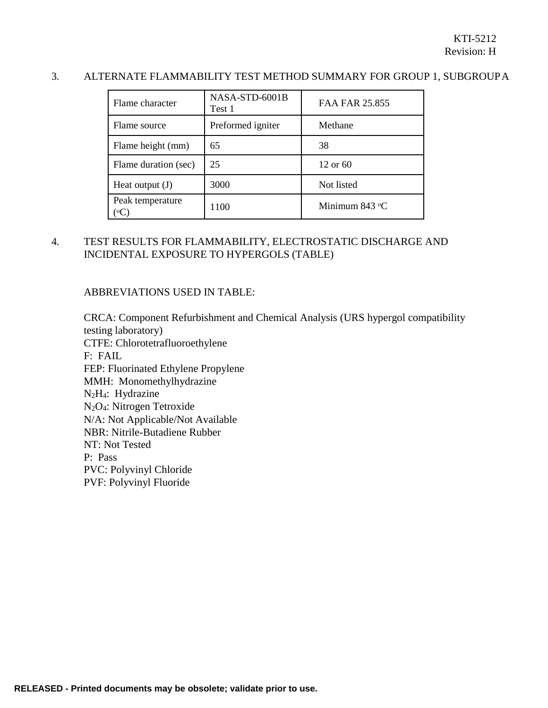## 3. ALTERNATE FLAMMABILITY TEST METHOD SUMMARY FOR GROUP 1, SUBGROUPA

| Flame character      | NASA-STD-6001B<br>Test 1 | FAA FAR 25.855 |
|----------------------|--------------------------|----------------|
| Flame source         | Preformed igniter        | Methane        |
| Flame height (mm)    | 65                       | 38             |
| Flame duration (sec) | 25                       | 12 or 60       |
| Heat output $(J)$    | 3000                     | Not listed     |
| Peak temperature     | 1100                     | Minimum 843 °C |

# 4. TEST RESULTS FOR FLAMMABILITY, ELECTROSTATIC DISCHARGE AND INCIDENTAL EXPOSURE TO HYPERGOLS (TABLE)

#### ABBREVIATIONS USED IN TABLE:

CRCA: Component Refurbishment and Chemical Analysis (URS hypergol compatibility testing laboratory) CTFE: Chlorotetrafluoroethylene F: FAIL FEP: Fluorinated Ethylene Propylene MMH: Monomethylhydrazine N2H4: Hydrazine N2O4: Nitrogen Tetroxide N/A: Not Applicable/Not Available NBR: Nitrile-Butadiene Rubber NT: Not Tested P: Pass PVC: Polyvinyl Chloride PVF: Polyvinyl Fluoride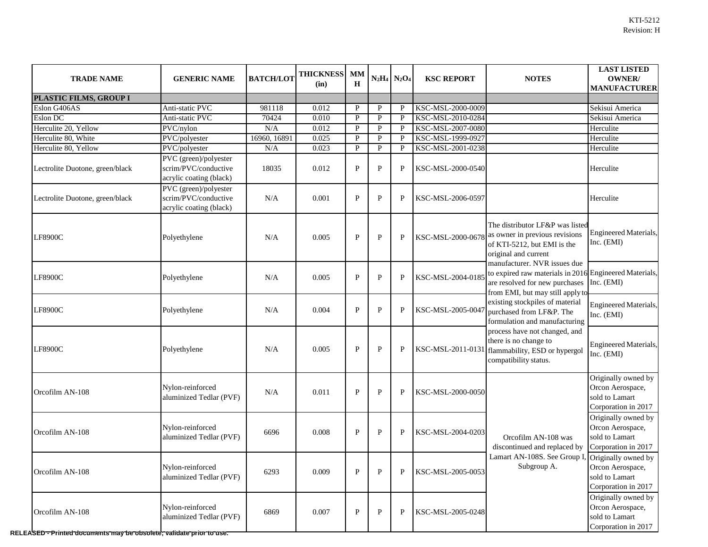| <b>TRADE NAME</b>                                                                     | <b>GENERIC NAME</b>                                                      | <b>BATCH/LOT</b> | <b>THICKNESS</b><br>(in) | <b>MM</b><br>$\bf H$ |              | $N_2H_4$ $N_2O_4$ | <b>KSC REPORT</b> | <b>NOTES</b>                                                                                                                                                                                                                                                                                                                                                                                                                                                                                                                                     | <b>LAST LISTED</b><br><b>OWNER/</b><br><b>MANUFACTURER</b>                       |
|---------------------------------------------------------------------------------------|--------------------------------------------------------------------------|------------------|--------------------------|----------------------|--------------|-------------------|-------------------|--------------------------------------------------------------------------------------------------------------------------------------------------------------------------------------------------------------------------------------------------------------------------------------------------------------------------------------------------------------------------------------------------------------------------------------------------------------------------------------------------------------------------------------------------|----------------------------------------------------------------------------------|
| PLASTIC FILMS, GROUP I                                                                |                                                                          |                  |                          |                      |              |                   |                   |                                                                                                                                                                                                                                                                                                                                                                                                                                                                                                                                                  |                                                                                  |
| Eslon G406AS                                                                          | Anti-static PVC                                                          | 981118           | 0.012                    | $\mathbf{P}$         | $\mathbf{P}$ | P                 | KSC-MSL-2000-0009 |                                                                                                                                                                                                                                                                                                                                                                                                                                                                                                                                                  | Sekisui America                                                                  |
| Eslon DC                                                                              | Anti-static PVC                                                          | 70424            | 0.010                    | $\mathbf{P}$         | $\mathbf{P}$ | P                 | KSC-MSL-2010-0284 |                                                                                                                                                                                                                                                                                                                                                                                                                                                                                                                                                  | Sekisui America                                                                  |
| Herculite 20, Yellow                                                                  | PVC/nylon                                                                | N/A              | 0.012                    | P                    | $\mathbf{P}$ | P                 | KSC-MSL-2007-0080 |                                                                                                                                                                                                                                                                                                                                                                                                                                                                                                                                                  | Herculite                                                                        |
| Herculite 80, White                                                                   | PVC/polyester                                                            | 16960, 16891     | 0.025                    | P                    | $\mathbf{P}$ | P                 | KSC-MSL-1999-0927 |                                                                                                                                                                                                                                                                                                                                                                                                                                                                                                                                                  | Herculite                                                                        |
| Herculite 80, Yellow                                                                  | PVC/polyester                                                            | N/A              | 0.023                    | P                    | $\mathbf{P}$ | P                 | KSC-MSL-2001-0238 |                                                                                                                                                                                                                                                                                                                                                                                                                                                                                                                                                  | Herculite                                                                        |
| Lectrolite Duotone, green/black                                                       | PVC (green)/polyester<br>scrim/PVC/conductive<br>acrylic coating (black) | 18035            | 0.012                    | $\mathbf{P}$         | ${\bf P}$    | $\mathbf{P}$      | KSC-MSL-2000-0540 |                                                                                                                                                                                                                                                                                                                                                                                                                                                                                                                                                  | Herculite                                                                        |
| Lectrolite Duotone, green/black                                                       | PVC (green)/polyester<br>scrim/PVC/conductive<br>acrylic coating (black) | N/A              | 0.001                    | $\mathbf{P}$         | ${\bf P}$    | $\mathbf{P}$      | KSC-MSL-2006-0597 |                                                                                                                                                                                                                                                                                                                                                                                                                                                                                                                                                  | Herculite                                                                        |
| <b>LF8900C</b>                                                                        | Polyethylene                                                             | N/A              | 0.005                    | $\mathbf{P}$         | ${\bf P}$    | $\mathbf{P}$      |                   | The distributor LF&P was listed<br>KSC-MSL-2000-0678 as owner in previous revisions<br>of KTI-5212, but EMI is the<br>original and current<br>manufacturer. NVR issues due<br>to expired raw materials in 2016 Engineered Materials,<br>are resolved for new purchases<br>from EMI, but may still apply to<br>existing stockpiles of material<br>purchased from LF&P. The<br>formulation and manufacturing<br>process have not changed, and<br>there is no change to<br>KSC-MSL-2011-0131 flammability, ESD or hypergol<br>compatibility status. | <b>Engineered Materials,</b><br>Inc. (EMI)                                       |
| <b>LF8900C</b>                                                                        | Polyethylene                                                             | N/A              | 0.005                    | $\mathbf{P}$         | ${\bf P}$    | $\mathbf{P}$      | KSC-MSL-2004-018: |                                                                                                                                                                                                                                                                                                                                                                                                                                                                                                                                                  | Inc. (EMI)                                                                       |
| <b>LF8900C</b>                                                                        | Polyethylene                                                             | N/A              | 0.004                    | $\mathbf{P}$         | ${\bf P}$    | $\mathbf{P}$      | KSC-MSL-2005-004  |                                                                                                                                                                                                                                                                                                                                                                                                                                                                                                                                                  | <b>Engineered Materials,</b><br>Inc. (EMI)                                       |
| <b>LF8900C</b>                                                                        | Polyethylene                                                             | N/A              | 0.005                    | P                    | $\mathbf P$  | P                 |                   |                                                                                                                                                                                                                                                                                                                                                                                                                                                                                                                                                  | <b>Engineered Materials,</b><br>Inc. (EMI)                                       |
| Orcofilm AN-108                                                                       | Nylon-reinforced<br>aluminized Tedlar (PVF)                              | N/A              | 0.011                    | $\mathbf{P}$         | $\mathbf{P}$ | $\mathbf{P}$      | KSC-MSL-2000-0050 |                                                                                                                                                                                                                                                                                                                                                                                                                                                                                                                                                  | Originally owned by<br>Orcon Aerospace,<br>sold to Lamart<br>Corporation in 2017 |
| Orcofilm AN-108                                                                       | Nylon-reinforced<br>aluminized Tedlar (PVF)                              | 6696             | 0.008                    | $\mathbf{P}$         | $\mathbf{P}$ | ${\bf P}$         | KSC-MSL-2004-0203 | Orcofilm AN-108 was<br>discontinued and replaced by<br>Lamart AN-108S. See Group I<br>Subgroup A.                                                                                                                                                                                                                                                                                                                                                                                                                                                | Originally owned by<br>Orcon Aerospace,<br>sold to Lamart<br>Corporation in 2017 |
| Orcofilm AN-108                                                                       | Nylon-reinforced<br>aluminized Tedlar (PVF)                              | 6293             | 0.009                    | $\mathbf{P}$         | $\mathbf P$  | $\mathbf{P}$      | KSC-MSL-2005-0053 |                                                                                                                                                                                                                                                                                                                                                                                                                                                                                                                                                  | Originally owned by<br>Orcon Aerospace,<br>sold to Lamart<br>Corporation in 2017 |
| Orcofilm AN-108<br>RELEASED-Printed documents may be obsolete, validate prior to use. | Nylon-reinforced<br>aluminized Tedlar (PVF)                              | 6869             | 0.007                    | $\mathbf{P}$         | $\mathbf P$  | $\mathbf{P}$      | KSC-MSL-2005-0248 |                                                                                                                                                                                                                                                                                                                                                                                                                                                                                                                                                  | Originally owned by<br>Orcon Aerospace,<br>sold to Lamart<br>Corporation in 2017 |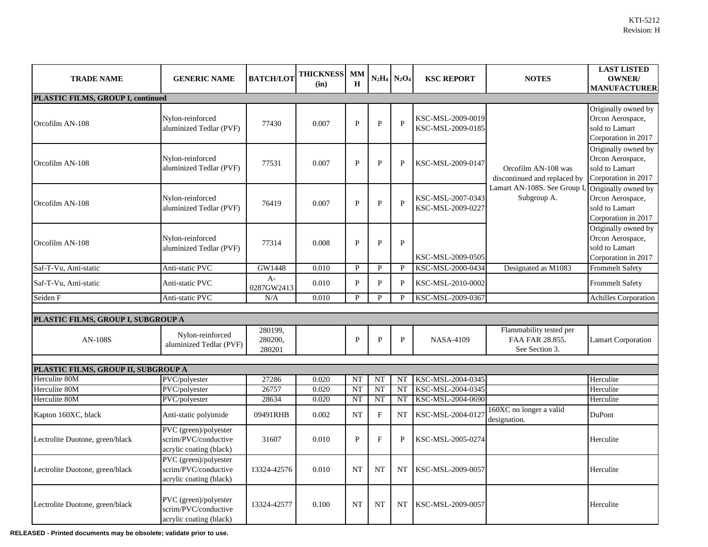| <b>TRADE NAME</b>                   | <b>GENERIC NAME</b>                                                      | <b>BATCH/LOT</b>             | <b>THICKNESS</b><br>(in) | <b>MM</b><br>$\bf H$ |              | $N_2H_4 N_2O_4 $ | <b>KSC REPORT</b>                      | <b>NOTES</b>                                                 | <b>LAST LISTED</b><br><b>OWNER/</b><br><b>MANUFACTURER</b>                       |  |
|-------------------------------------|--------------------------------------------------------------------------|------------------------------|--------------------------|----------------------|--------------|------------------|----------------------------------------|--------------------------------------------------------------|----------------------------------------------------------------------------------|--|
| PLASTIC FILMS, GROUP I, continued   |                                                                          |                              |                          |                      |              |                  |                                        |                                                              |                                                                                  |  |
| Orcofilm AN-108                     | Nylon-reinforced<br>aluminized Tedlar (PVF)                              | 77430                        | 0.007                    | P                    | $\mathbf{P}$ | $\mathbf{P}$     | KSC-MSL-2009-0019<br>KSC-MSL-2009-0185 |                                                              | Originally owned by<br>Orcon Aerospace,<br>sold to Lamart<br>Corporation in 2017 |  |
| Orcofilm AN-108                     | Nylon-reinforced<br>aluminized Tedlar (PVF)                              | 77531                        | 0.007                    | P                    | $\mathbf{P}$ | $\mathbf{P}$     | KSC-MSL-2009-0147                      | Orcofilm AN-108 was<br>discontinued and replaced by          | Originally owned by<br>Orcon Aerospace,<br>sold to Lamart<br>Corporation in 2017 |  |
| Orcofilm AN-108                     | Nylon-reinforced<br>aluminized Tedlar (PVF)                              | 76419                        | 0.007                    | $\mathbf{P}$         | ${\bf P}$    | $\mathbf{P}$     | KSC-MSL-2007-0343<br>KSC-MSL-2009-0227 | Lamart AN-108S. See Group I,<br>Subgroup A.                  | Originally owned by<br>Orcon Aerospace,<br>sold to Lamart<br>Corporation in 2017 |  |
| Orcofilm AN-108                     | Nylon-reinforced<br>aluminized Tedlar (PVF)                              | 77314                        | 0.008                    | $\mathbf{P}$         | ${\bf P}$    | ${\bf P}$        | KSC-MSL-2009-0505                      |                                                              | Originally owned by<br>Orcon Aerospace,<br>sold to Lamart<br>Corporation in 2017 |  |
| Saf-T-Vu, Anti-static               | Anti-static PVC                                                          | GW1448                       | 0.010                    | <b>P</b>             | $\mathbf{P}$ | P                | KSC-MSL-2000-0434                      | Designated as M1083                                          | <b>Frommelt Safety</b>                                                           |  |
| Saf-T-Vu, Anti-static               | Anti-static PVC                                                          | $A-$<br>0287GW2413           | 0.010                    | P                    | $\mathbf{P}$ | $\mathbf{P}$     | KSC-MSL-2010-0002                      |                                                              | <b>Frommelt Safety</b>                                                           |  |
| Seiden F                            | Anti-static PVC                                                          | N/A                          | 0.010                    | <b>P</b>             | P            | P                | KSC-MSL-2009-0367                      |                                                              | Achilles Corporation                                                             |  |
|                                     |                                                                          |                              |                          |                      |              |                  |                                        |                                                              |                                                                                  |  |
| PLASTIC FILMS, GROUP I, SUBGROUP A  |                                                                          |                              |                          |                      |              |                  |                                        |                                                              |                                                                                  |  |
| <b>AN-108S</b>                      | Nylon-reinforced<br>aluminized Tedlar (PVF)                              | 280199,<br>280200,<br>280201 |                          | $\mathbf{P}$         | $\mathbf{P}$ | $\mathbf{P}$     | <b>NASA-4109</b>                       | Flammability tested per<br>FAA FAR 28.855.<br>See Section 3. | <b>Lamart Corporation</b>                                                        |  |
| PLASTIC FILMS, GROUP II, SUBGROUP A |                                                                          |                              |                          |                      |              |                  |                                        |                                                              |                                                                                  |  |
| Herculite 80M                       | PVC/polyester                                                            | 27286                        | 0.020                    | <b>NT</b>            | NT           | <b>NT</b>        | KSC-MSL-2004-0345                      |                                                              | Herculite                                                                        |  |
| Herculite 80M                       | PVC/polyester                                                            | 26757                        | 0.020                    | <b>NT</b>            | <b>NT</b>    | <b>NT</b>        | KSC-MSL-2004-0345                      |                                                              | Herculite                                                                        |  |
| Herculite 80M                       | PVC/polyester                                                            | 28634                        | 0.020                    | <b>NT</b>            | NT           | <b>NT</b>        | KSC-MSL-2004-0690                      |                                                              | Herculite                                                                        |  |
| Kapton 160XC, black                 | Anti-static polyimide                                                    | 09491RHB                     | 0.002                    | <b>NT</b>            | ${\bf F}$    | <b>NT</b>        | KSC-MSL-2004-0127                      | 160XC no longer a valid<br>designation.                      | DuPont                                                                           |  |
| Lectrolite Duotone, green/black     | PVC (green)/polyester<br>scrim/PVC/conductive<br>acrylic coating (black) | 31607                        | 0.010                    | P                    | ${\bf F}$    | ${\bf P}$        | KSC-MSL-2005-0274                      |                                                              | Herculite                                                                        |  |
| Lectrolite Duotone, green/black     | PVC (green)/polyester<br>scrim/PVC/conductive<br>acrylic coating (black) | 13324-42576                  | 0.010                    | <b>NT</b>            | NT           | <b>NT</b>        | KSC-MSL-2009-0057                      |                                                              | Herculite                                                                        |  |
| Lectrolite Duotone, green/black     | PVC (green)/polyester<br>scrim/PVC/conductive<br>acrylic coating (black) | 13324-42577                  | 0.100                    | <b>NT</b>            | NT           | NT               | KSC-MSL-2009-0057                      |                                                              | Herculite                                                                        |  |

**RELEASED - Printed documents may be obsolete; validate prior to use.**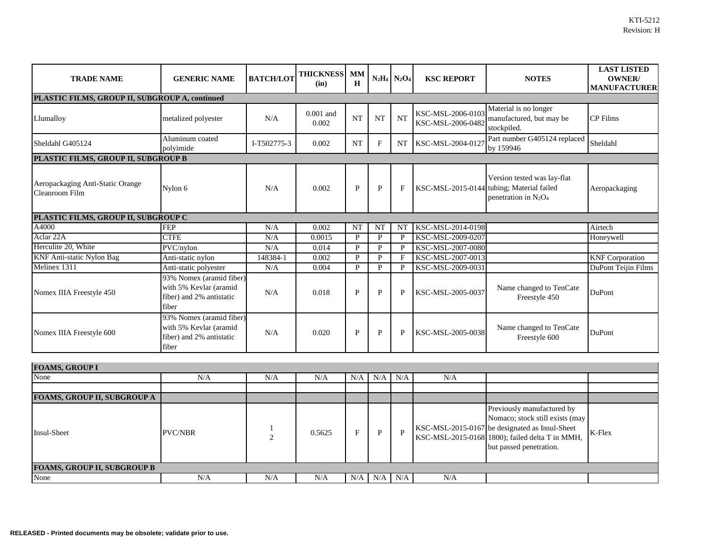| <b>TRADE NAME</b>                                  | <b>GENERIC NAME</b>                                                                     | <b>BATCH/LOT</b> | <b>THICKNESS</b><br>(in) | <b>MM</b><br>H |              | $N_2H_4$ $N_2O_4$ | <b>KSC REPORT</b>                      | <b>NOTES</b>                                                                                        | <b>LAST LISTED</b><br><b>OWNER</b><br><b>MANUFACTURER</b> |
|----------------------------------------------------|-----------------------------------------------------------------------------------------|------------------|--------------------------|----------------|--------------|-------------------|----------------------------------------|-----------------------------------------------------------------------------------------------------|-----------------------------------------------------------|
| PLASTIC FILMS, GROUP II, SUBGROUP A, continued     |                                                                                         |                  |                          |                |              |                   |                                        |                                                                                                     |                                                           |
| Llumalloy                                          | metalized polyester                                                                     | N/A              | $0.001$ and<br>0.002     | <b>NT</b>      | <b>NT</b>    | <b>NT</b>         | KSC-MSL-2006-0103<br>KSC-MSL-2006-0482 | Material is no longer<br>manufactured, but may be<br>stockpiled.                                    | <b>CP</b> Films                                           |
| Sheldahl G405124                                   | Aluminum coated<br>polyimide                                                            | I-T502775-3      | 0.002                    | <b>NT</b>      | $\mathbf{F}$ | <b>NT</b>         | KSC-MSL-2004-0127                      | Part number G405124 replaced<br>by 159946                                                           | Sheldahl                                                  |
| PLASTIC FILMS, GROUP II, SUBGROUP B                |                                                                                         |                  |                          |                |              |                   |                                        |                                                                                                     |                                                           |
| Aeropackaging Anti-Static Orange<br>Cleanroom Film | Nylon 6                                                                                 | N/A              | 0.002                    | $\mathbf{P}$   | $\mathbf{P}$ | $\mathbf{F}$      |                                        | Version tested was lay-flat<br>KSC-MSL-2015-0144 tubing; Material failed<br>penetration in $N_2O_4$ | Aeropackaging                                             |
| PLASTIC FILMS, GROUP II, SUBGROUP C                |                                                                                         |                  |                          |                |              |                   |                                        |                                                                                                     |                                                           |
| A4000                                              | <b>FEP</b>                                                                              | N/A              | 0.002                    | <b>NT</b>      | <b>NT</b>    | <b>NT</b>         | KSC-MSL-2014-0198                      |                                                                                                     | Airtech                                                   |
| Aclar 22A                                          | <b>CTFE</b>                                                                             | N/A              | 0.0015                   | P              | $\mathbf{P}$ | $\mathbf{P}$      | KSC-MSL-2009-0207                      |                                                                                                     | Honeywell                                                 |
| Herculite 20, White                                | PVC/nylon                                                                               | N/A              | 0.014                    | P              | $\mathbf{P}$ | P                 | KSC-MSL-2007-0080                      |                                                                                                     |                                                           |
| <b>KNF Anti-static Nylon Bag</b>                   | Anti-static nylon                                                                       | 148384-1         | 0.002                    | P              | $\mathbf{P}$ | F                 | KSC-MSL-2007-0013                      |                                                                                                     | <b>KNF</b> Corporation                                    |
| Melinex 1311                                       | Anti-static polyester                                                                   | N/A              | 0.004                    | $\mathbf{P}$   | $\mathbf{P}$ | $\mathbf{P}$      | KSC-MSL-2009-0031                      |                                                                                                     | <b>DuPont Teijin Films</b>                                |
| Nomex IIIA Freestyle 450                           | 93% Nomex (aramid fiber)<br>with 5% Kevlar (aramid<br>fiber) and 2% antistatic<br>fiber | N/A              | 0.018                    | P              | $\mathbf{P}$ | $\mathbf{P}$      | KSC-MSL-2005-0037                      | Name changed to TenCate<br>Freestyle 450                                                            | <b>DuPont</b>                                             |
| Nomex IIIA Freestyle 600                           | 93% Nomex (aramid fiber)<br>with 5% Kevlar (aramid<br>fiber) and 2% antistatic<br>fiber | N/A              | 0.020                    | P              | $\mathbf{P}$ | $\mathbf{P}$      | KSC-MSL-2005-0038                      | Name changed to TenCate<br>Freestyle 600                                                            | DuPont                                                    |

| <b>FOAMS, GROUP I</b>              |                |     |        |     |     |          |     |                                                                                                                                                                                               |        |
|------------------------------------|----------------|-----|--------|-----|-----|----------|-----|-----------------------------------------------------------------------------------------------------------------------------------------------------------------------------------------------|--------|
| None                               | N/A            | N/A | N/A    | N/A | N/A | N/A      | N/A |                                                                                                                                                                                               |        |
|                                    |                |     |        |     |     |          |     |                                                                                                                                                                                               |        |
| <b>FOAMS, GROUP II, SUBGROUP A</b> |                |     |        |     |     |          |     |                                                                                                                                                                                               |        |
| <b>Insul-Sheet</b>                 | <b>PVC/NBR</b> |     | 0.5625 | F   | D   | <b>P</b> |     | Previously manufactured by<br>Nomaco; stock still exists (may<br>KSC-MSL-2015-0167 be designated as Insul-Sheet<br>KSC-MSL-2015-0168 1800); failed delta T in MMH,<br>but passed penetration. | K-Flex |
| <b>FOAMS, GROUP II, SUBGROUP B</b> |                |     |        |     |     |          |     |                                                                                                                                                                                               |        |
| None                               | N/A            | N/A | N/A    | N/A | N/A | N/A      | N/A |                                                                                                                                                                                               |        |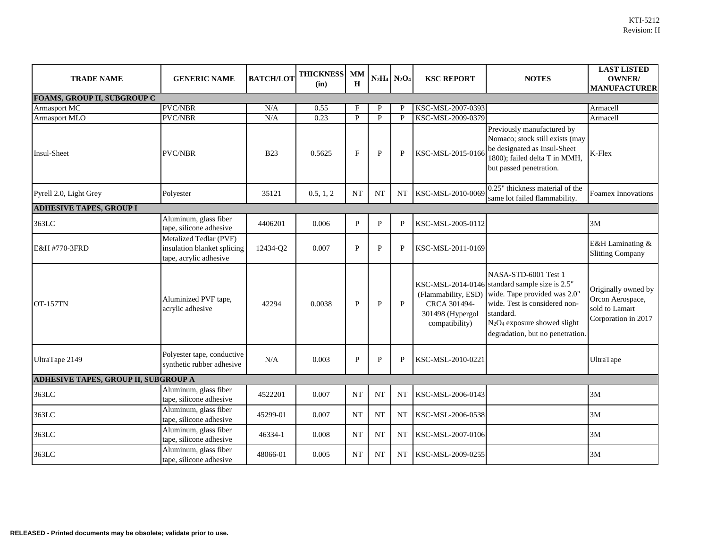| <b>TRADE NAME</b>                           | <b>GENERIC NAME</b>                                                             | <b>BATCH/LOT</b> | <b>THICKNESS</b><br>(in) | <b>MM</b><br>$\mathbf H$  |              | $N_2H_4$ $N_2O_4$ | <b>KSC REPORT</b>                                                         | <b>NOTES</b>                                                                                                                                                                                                                                     | <b>LAST LISTED</b><br><b>OWNER/</b><br><b>MANUFACTURER</b>                       |
|---------------------------------------------|---------------------------------------------------------------------------------|------------------|--------------------------|---------------------------|--------------|-------------------|---------------------------------------------------------------------------|--------------------------------------------------------------------------------------------------------------------------------------------------------------------------------------------------------------------------------------------------|----------------------------------------------------------------------------------|
| <b>FOAMS, GROUP II, SUBGROUP C</b>          |                                                                                 |                  |                          |                           |              |                   |                                                                           |                                                                                                                                                                                                                                                  |                                                                                  |
| Armasport MC                                | <b>PVC/NBR</b>                                                                  | N/A              | 0.55                     | F                         | P            | P                 | KSC-MSL-2007-0393                                                         |                                                                                                                                                                                                                                                  | Armacell                                                                         |
| <b>Armasport MLO</b>                        | PVC/NBR                                                                         | N/A              | 0.23                     | P                         | $\mathbf{P}$ | $\mathbf{P}$      | KSC-MSL-2009-0379                                                         |                                                                                                                                                                                                                                                  | Armacell                                                                         |
| Insul-Sheet                                 | <b>PVC/NBR</b>                                                                  | <b>B23</b>       | 0.5625                   | $\boldsymbol{\mathrm{F}}$ | $\mathbf{P}$ | $\mathbf{P}$      | KSC-MSL-2015-0166                                                         | Previously manufactured by<br>Nomaco; stock still exists (may<br>be designated as Insul-Sheet<br>1800); failed delta T in MMH,<br>but passed penetration.                                                                                        | K-Flex                                                                           |
| Pyrell 2.0, Light Grey                      | Polyester                                                                       | 35121            | 0.5, 1, 2                | <b>NT</b>                 | <b>NT</b>    | <b>NT</b>         | KSC-MSL-2010-0069                                                         | 0.25" thickness material of the<br>same lot failed flammability.                                                                                                                                                                                 | <b>Foamex Innovations</b>                                                        |
| <b>ADHESIVE TAPES, GROUP I</b>              |                                                                                 |                  |                          |                           |              |                   |                                                                           |                                                                                                                                                                                                                                                  |                                                                                  |
| 363LC                                       | Aluminum, glass fiber<br>tape, silicone adhesive                                | 4406201          | 0.006                    | P                         | $\mathbf{P}$ | $\mathbf{P}$      | KSC-MSL-2005-0112                                                         |                                                                                                                                                                                                                                                  | 3M                                                                               |
| E&H #770-3FRD                               | Metalized Tedlar (PVF)<br>insulation blanket splicing<br>tape, acrylic adhesive | 12434-Q2         | 0.007                    | $\mathbf{P}$              | $\mathbf{P}$ | $\mathbf{P}$      | KSC-MSL-2011-0169                                                         |                                                                                                                                                                                                                                                  | E&H Laminating &<br><b>Slitting Company</b>                                      |
| <b>OT-157TN</b>                             | Aluminized PVF tape,<br>acrylic adhesive                                        | 42294            | 0.0038                   | $\mathbf{P}$              | $\mathbf{P}$ | $\mathbf{P}$      | (Flammability, ESD)<br>CRCA 301494-<br>301498 (Hypergol<br>compatibility) | NASA-STD-6001 Test 1<br>KSC-MSL-2014-0146 standard sample size is 2.5"<br>wide. Tape provided was 2.0"<br>wide. Test is considered non-<br>standard.<br>N <sub>2</sub> O <sub>4</sub> exposure showed slight<br>degradation, but no penetration. | Originally owned by<br>Orcon Aerospace,<br>sold to Lamart<br>Corporation in 2017 |
| UltraTape 2149                              | Polyester tape, conductive<br>synthetic rubber adhesive                         | N/A              | 0.003                    | P                         | $\mathbf{P}$ | $\mathbf{P}$      | KSC-MSL-2010-0221                                                         |                                                                                                                                                                                                                                                  | UltraTape                                                                        |
| <b>ADHESIVE TAPES, GROUP II, SUBGROUP A</b> |                                                                                 |                  |                          |                           |              |                   |                                                                           |                                                                                                                                                                                                                                                  |                                                                                  |
| 363LC                                       | Aluminum, glass fiber<br>tape, silicone adhesive                                | 4522201          | 0.007                    | <b>NT</b>                 | <b>NT</b>    | <b>NT</b>         | KSC-MSL-2006-0143                                                         |                                                                                                                                                                                                                                                  | 3M                                                                               |
| 363LC                                       | Aluminum, glass fiber<br>tape, silicone adhesive                                | 45299-01         | 0.007                    | <b>NT</b>                 | <b>NT</b>    | NT                | KSC-MSL-2006-0538                                                         |                                                                                                                                                                                                                                                  | 3M                                                                               |
| 363LC                                       | Aluminum, glass fiber<br>tape, silicone adhesive                                | 46334-1          | 0.008                    | <b>NT</b>                 | <b>NT</b>    | <b>NT</b>         | KSC-MSL-2007-0106                                                         |                                                                                                                                                                                                                                                  | 3M                                                                               |
| 363LC                                       | Aluminum, glass fiber<br>tape, silicone adhesive                                | 48066-01         | 0.005                    | <b>NT</b>                 | NT           | NT                | KSC-MSL-2009-0255                                                         |                                                                                                                                                                                                                                                  | 3M                                                                               |